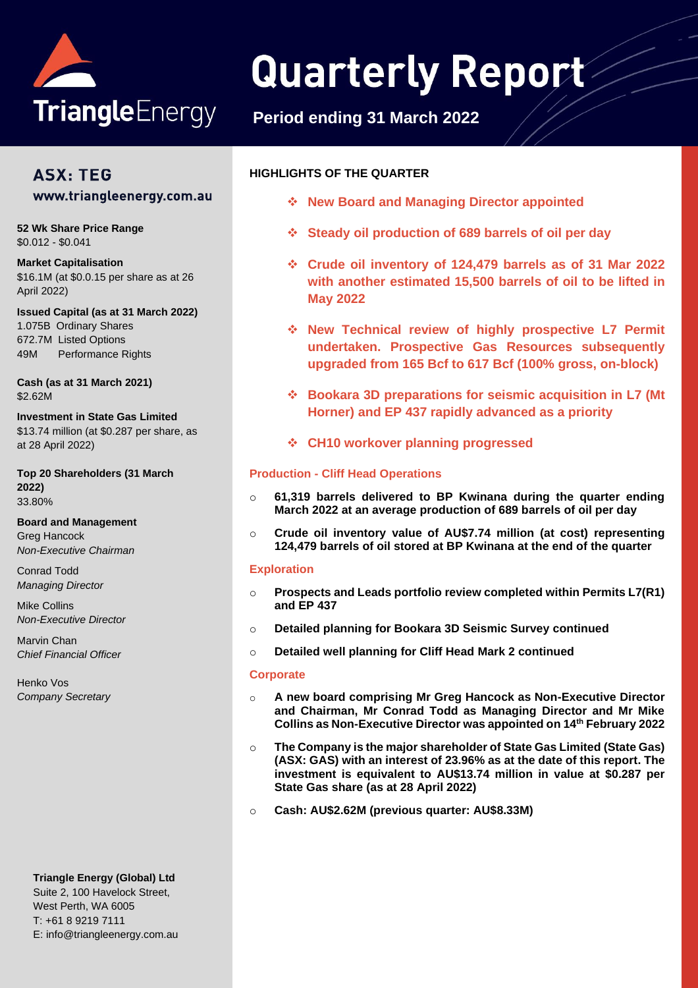

# **Quarterly Report**

## **Period ending 31 March 2022**

## **ASX: TEG** www.triangleenergy.com.au

**52 Wk Share Price Range** \$0.012 - \$0.041

**Market Capitalisation**  \$16.1M (at \$0.0.15 per share as at 26 April 2022)

**Issued Capital (as at 31 March 2022)** 1.075B Ordinary Shares 672.7M Listed Options 49M Performance Rights

**Cash (as at 31 March 2021)** \$2.62M

**Investment in State Gas Limited** \$13.74 million (at \$0.287 per share, as at 28 April 2022)

**Top 20 Shareholders (31 March 2022)** 33.80%

**Board and Management** Greg Hancock *Non-Executive Chairman*

Conrad Todd *Managing Director*

Mike Collins *Non-Executive Director*

Marvin Chan *Chief Financial Officer*

Henko Vos *Company Secretary*

#### **Triangle Energy (Global) Ltd**

Suite 2, 100 Havelock Street, West Perth, WA 6005 T: +61 8 9219 7111 E: info@triangleenergy.com.au

#### **HIGHLIGHTS OF THE QUARTER**

- ❖ **New Board and Managing Director appointed**
- ❖ **Steady oil production of 689 barrels of oil per day**
- ❖ **Crude oil inventory of 124,479 barrels as of 31 Mar 2022 with another estimated 15,500 barrels of oil to be lifted in May 2022**
- ❖ **New Technical review of highly prospective L7 Permit undertaken. Prospective Gas Resources subsequently upgraded from 165 Bcf to 617 Bcf (100% gross, on-block)**
- ❖ **Bookara 3D preparations for seismic acquisition in L7 (Mt Horner) and EP 437 rapidly advanced as a priority**
- ❖ **CH10 workover planning progressed**

#### **Production - Cliff Head Operations**

- o **61,319 barrels delivered to BP Kwinana during the quarter ending March 2022 at an average production of 689 barrels of oil per day**
- o **Crude oil inventory value of AU\$7.74 million (at cost) representing 124,479 barrels of oil stored at BP Kwinana at the end of the quarter**

#### **Exploration**

- o **Prospects and Leads portfolio review completed within Permits L7(R1) and EP 437**
- o **Detailed planning for Bookara 3D Seismic Survey continued**
- o **Detailed well planning for Cliff Head Mark 2 continued**

#### **Corporate**

- o **A new board comprising Mr Greg Hancock as Non-Executive Director and Chairman, Mr Conrad Todd as Managing Director and Mr Mike Collins as Non-Executive Director was appointed on 14th February 2022**
- o **The Company is the major shareholder of State Gas Limited (State Gas) (ASX: GAS) with an interest of 23.96% as at the date of this report. The investment is equivalent to AU\$13.74 million in value at \$0.287 per State Gas share (as at 28 April 2022)**
- o **Cash: AU\$2.62M (previous quarter: AU\$8.33M)**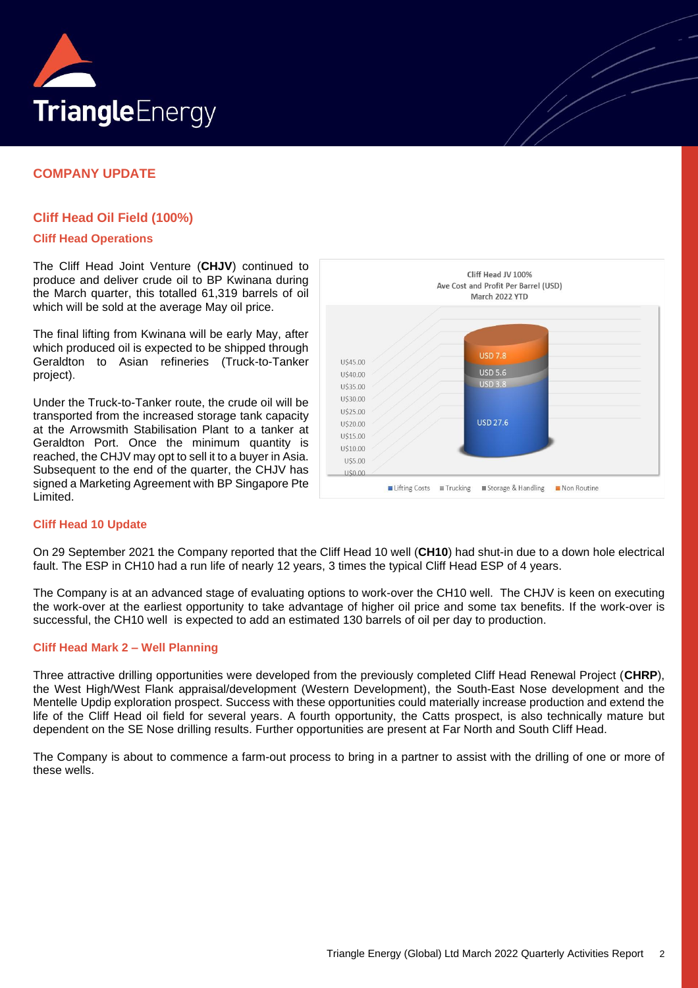

#### **COMPANY UPDATE**

#### **Cliff Head Oil Field (100%)**

#### **Cliff Head Operations**

The Cliff Head Joint Venture (**CHJV**) continued to produce and deliver crude oil to BP Kwinana during the March quarter, this totalled 61,319 barrels of oil which will be sold at the average May oil price.

The final lifting from Kwinana will be early May, after which produced oil is expected to be shipped through Geraldton to Asian refineries (Truck-to-Tanker project).

Under the Truck-to-Tanker route, the crude oil will be transported from the increased storage tank capacity at the Arrowsmith Stabilisation Plant to a tanker at Geraldton Port. Once the minimum quantity is reached, the CHJV may opt to sell it to a buyer in Asia. Subsequent to the end of the quarter, the CHJV has signed a Marketing Agreement with BP Singapore Pte Limited.



#### **Cliff Head 10 Update**

On 29 September 2021 the Company reported that the Cliff Head 10 well (**CH10**) had shut-in due to a down hole electrical fault. The ESP in CH10 had a run life of nearly 12 years, 3 times the typical Cliff Head ESP of 4 years.

The Company is at an advanced stage of evaluating options to work-over the CH10 well. The CHJV is keen on executing the work-over at the earliest opportunity to take advantage of higher oil price and some tax benefits. If the work-over is successful, the CH10 well is expected to add an estimated 130 barrels of oil per day to production.

#### **Cliff Head Mark 2 – Well Planning**

Three attractive drilling opportunities were developed from the previously completed Cliff Head Renewal Project (**CHRP**), the West High/West Flank appraisal/development (Western Development), the South-East Nose development and the Mentelle Updip exploration prospect. Success with these opportunities could materially increase production and extend the life of the Cliff Head oil field for several years. A fourth opportunity, the Catts prospect, is also technically mature but dependent on the SE Nose drilling results. Further opportunities are present at Far North and South Cliff Head.

The Company is about to commence a farm-out process to bring in a partner to assist with the drilling of one or more of these wells.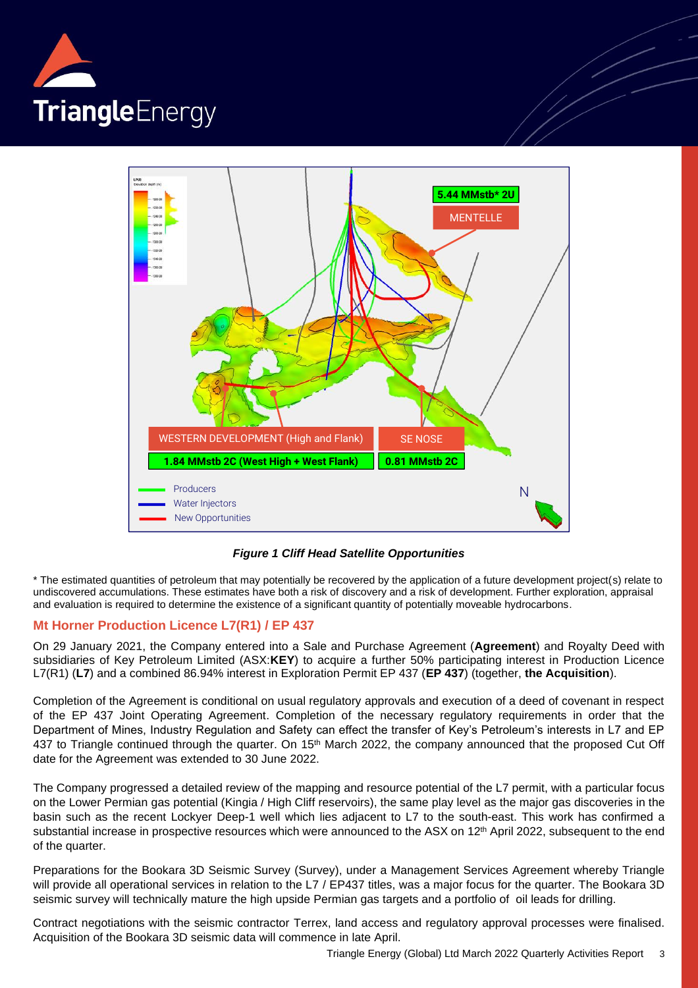



*Figure 1 Cliff Head Satellite Opportunities*

\* The estimated quantities of petroleum that may potentially be recovered by the application of a future development project(s) relate to undiscovered accumulations. These estimates have both a risk of discovery and a risk of development. Further exploration, appraisal and evaluation is required to determine the existence of a significant quantity of potentially moveable hydrocarbons.

#### **Mt Horner Production Licence L7(R1) / EP 437**

On 29 January 2021, the Company entered into a Sale and Purchase Agreement (**Agreement**) and Royalty Deed with subsidiaries of Key Petroleum Limited (ASX:**KEY**) to acquire a further 50% participating interest in Production Licence L7(R1) (**L7**) and a combined 86.94% interest in Exploration Permit EP 437 (**EP 437**) (together, **the Acquisition**).

Completion of the Agreement is conditional on usual regulatory approvals and execution of a deed of covenant in respect of the EP 437 Joint Operating Agreement. Completion of the necessary regulatory requirements in order that the Department of Mines, Industry Regulation and Safety can effect the transfer of Key's Petroleum's interests in L7 and EP 437 to Triangle continued through the quarter. On 15<sup>th</sup> March 2022, the company announced that the proposed Cut Off date for the Agreement was extended to 30 June 2022.

The Company progressed a detailed review of the mapping and resource potential of the L7 permit, with a particular focus on the Lower Permian gas potential (Kingia / High Cliff reservoirs), the same play level as the major gas discoveries in the basin such as the recent Lockyer Deep-1 well which lies adjacent to L7 to the south-east. This work has confirmed a substantial increase in prospective resources which were announced to the ASX on 12<sup>th</sup> April 2022, subsequent to the end of the quarter.

Preparations for the Bookara 3D Seismic Survey (Survey), under a Management Services Agreement whereby Triangle will provide all operational services in relation to the L7 / EP437 titles, was a major focus for the quarter. The Bookara 3D seismic survey will technically mature the high upside Permian gas targets and a portfolio of oil leads for drilling.

Contract negotiations with the seismic contractor Terrex, land access and regulatory approval processes were finalised. Acquisition of the Bookara 3D seismic data will commence in late April.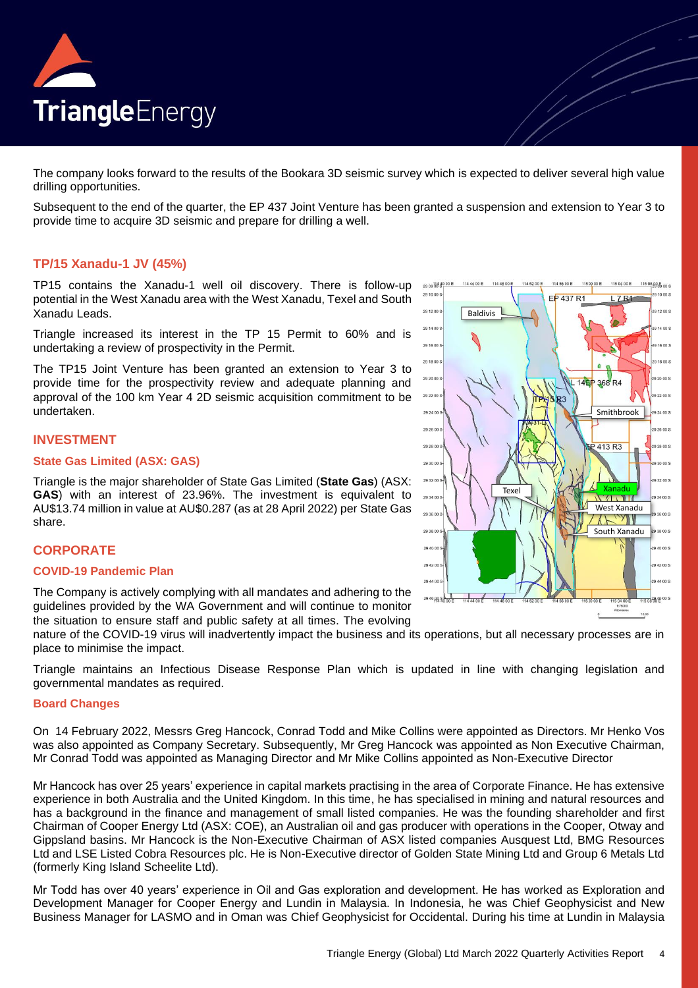

The company looks forward to the results of the Bookara 3D seismic survey which is expected to deliver several high value drilling opportunities.

Subsequent to the end of the quarter, the EP 437 Joint Venture has been granted a suspension and extension to Year 3 to provide time to acquire 3D seismic and prepare for drilling a well.

#### **TP/15 Xanadu-1 JV (45%)**

TP15 contains the Xanadu-1 well oil discovery. There is follow-up potential in the West Xanadu area with the West Xanadu, Texel and South Xanadu Leads.

Triangle increased its interest in the TP 15 Permit to 60% and is undertaking a review of prospectivity in the Permit.

The TP15 Joint Venture has been granted an extension to Year 3 to provide time for the prospectivity review and adequate planning and approval of the 100 km Year 4 2D seismic acquisition commitment to be undertaken.

#### **INVESTMENT**

#### **State Gas Limited (ASX: GAS)**

Triangle is the major shareholder of State Gas Limited (**State Gas**) (ASX: **GAS**) with an interest of 23.96%. The investment is equivalent to AU\$13.74 million in value at AU\$0.287 (as at 28 April 2022) per State Gas share.

#### **CORPORATE**

#### **COVID-19 Pandemic Plan**

The Company is actively complying with all mandates and adhering to the guidelines provided by the WA Government and will continue to monitor the situation to ensure staff and public safety at all times. The evolving

nature of the COVID-19 virus will inadvertently impact the business and its operations, but all necessary processes are in place to minimise the impact.

Triangle maintains an Infectious Disease Response Plan which is updated in line with changing legislation and governmental mandates as required.

#### **Board Changes**

On 14 February 2022, Messrs Greg Hancock, Conrad Todd and Mike Collins were appointed as Directors. Mr Henko Vos was also appointed as Company Secretary. Subsequently, Mr Greg Hancock was appointed as Non Executive Chairman, Mr Conrad Todd was appointed as Managing Director and Mr Mike Collins appointed as Non-Executive Director

Mr Hancock has over 25 years' experience in capital markets practising in the area of Corporate Finance. He has extensive experience in both Australia and the United Kingdom. In this time, he has specialised in mining and natural resources and has a background in the finance and management of small listed companies. He was the founding shareholder and first Chairman of Cooper Energy Ltd (ASX: COE), an Australian oil and gas producer with operations in the Cooper, Otway and Gippsland basins. Mr Hancock is the Non-Executive Chairman of ASX listed companies Ausquest Ltd, BMG Resources Ltd and LSE Listed Cobra Resources plc. He is Non-Executive director of Golden State Mining Ltd and Group 6 Metals Ltd (formerly King Island Scheelite Ltd).

Mr Todd has over 40 years' experience in Oil and Gas exploration and development. He has worked as Exploration and Development Manager for Cooper Energy and Lundin in Malaysia. In Indonesia, he was Chief Geophysicist and New Business Manager for LASMO and in Oman was Chief Geophysicist for Occidental. During his time at Lundin in Malaysia

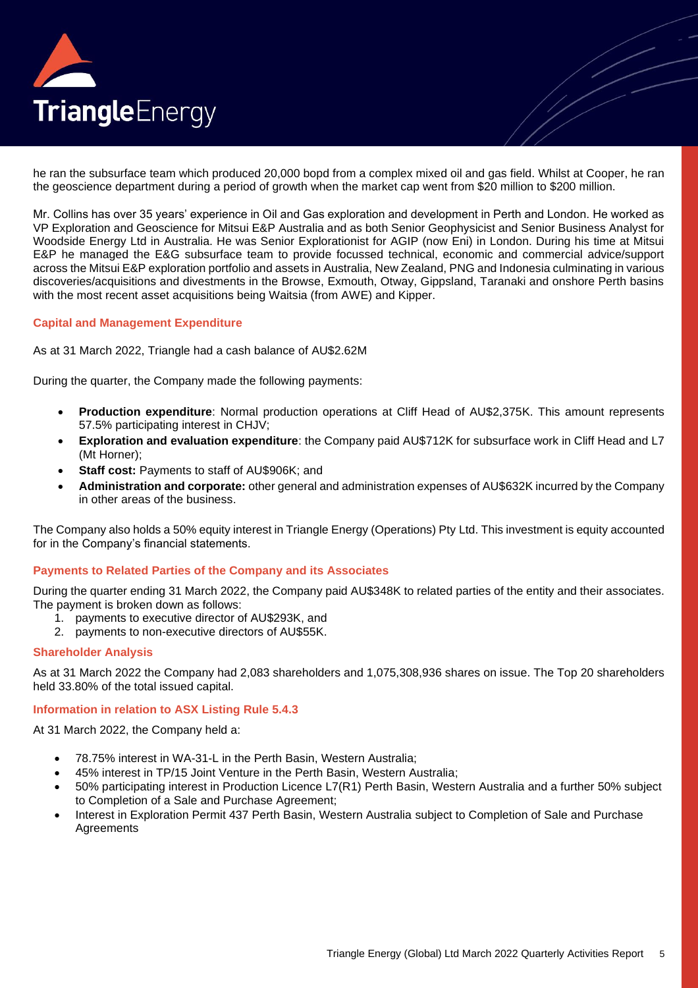

he ran the subsurface team which produced 20,000 bopd from a complex mixed oil and gas field. Whilst at Cooper, he ran the geoscience department during a period of growth when the market cap went from \$20 million to \$200 million.

Mr. Collins has over 35 years' experience in Oil and Gas exploration and development in Perth and London. He worked as VP Exploration and Geoscience for Mitsui E&P Australia and as both Senior Geophysicist and Senior Business Analyst for Woodside Energy Ltd in Australia. He was Senior Explorationist for AGIP (now Eni) in London. During his time at Mitsui E&P he managed the E&G subsurface team to provide focussed technical, economic and commercial advice/support across the Mitsui E&P exploration portfolio and assets in Australia, New Zealand, PNG and Indonesia culminating in various discoveries/acquisitions and divestments in the Browse, Exmouth, Otway, Gippsland, Taranaki and onshore Perth basins with the most recent asset acquisitions being Waitsia (from AWE) and Kipper.

#### **Capital and Management Expenditure**

As at 31 March 2022, Triangle had a cash balance of AU\$2.62M

During the quarter, the Company made the following payments:

- **Production expenditure**: Normal production operations at Cliff Head of AU\$2,375K. This amount represents 57.5% participating interest in CHJV;
- **Exploration and evaluation expenditure**: the Company paid AU\$712K for subsurface work in Cliff Head and L7 (Mt Horner);
- **Staff cost:** Payments to staff of AU\$906K; and
- **Administration and corporate:** other general and administration expenses of AU\$632K incurred by the Company in other areas of the business.

The Company also holds a 50% equity interest in Triangle Energy (Operations) Pty Ltd. This investment is equity accounted for in the Company's financial statements.

#### **Payments to Related Parties of the Company and its Associates**

During the quarter ending 31 March 2022, the Company paid AU\$348K to related parties of the entity and their associates. The payment is broken down as follows:

- 1. payments to executive director of AU\$293K, and
- 2. payments to non-executive directors of AU\$55K.

#### **Shareholder Analysis**

As at 31 March 2022 the Company had 2,083 shareholders and 1,075,308,936 shares on issue. The Top 20 shareholders held 33.80% of the total issued capital.

#### **Information in relation to ASX Listing Rule 5.4.3**

At 31 March 2022, the Company held a:

- 78.75% interest in WA-31-L in the Perth Basin, Western Australia;
- 45% interest in TP/15 Joint Venture in the Perth Basin, Western Australia;
- 50% participating interest in Production Licence L7(R1) Perth Basin, Western Australia and a further 50% subject to Completion of a Sale and Purchase Agreement;
- Interest in Exploration Permit 437 Perth Basin, Western Australia subject to Completion of Sale and Purchase **Agreements**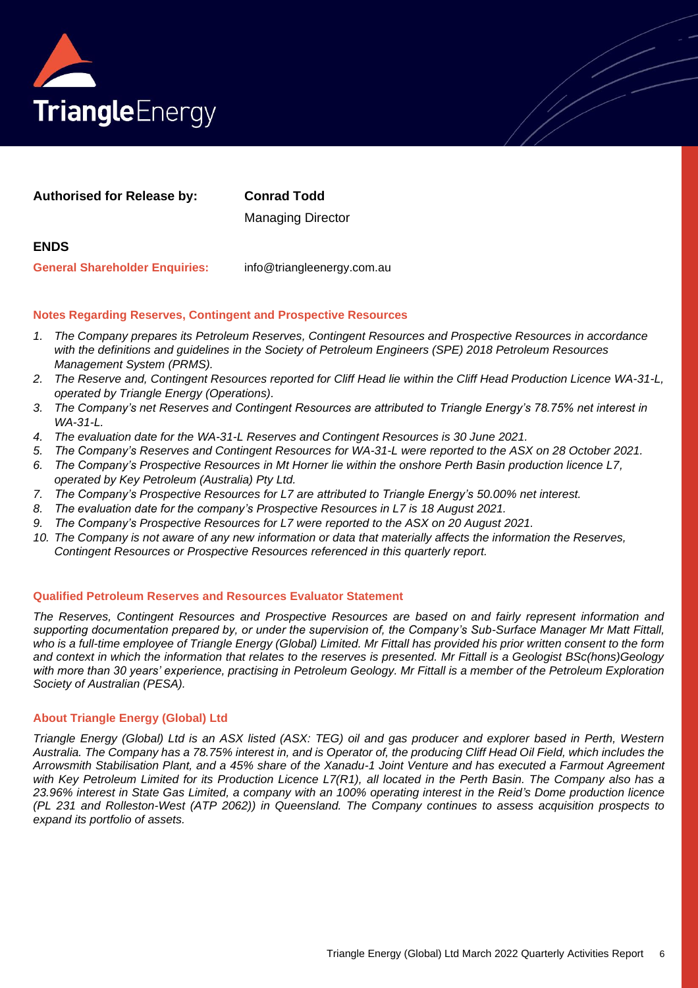

| <b>Authorised for Release by:</b>     | <b>Conrad Todd</b>         |
|---------------------------------------|----------------------------|
|                                       | <b>Managing Director</b>   |
| <b>ENDS</b>                           |                            |
| <b>General Shareholder Enquiries:</b> | info@triangleenergy.com.au |

#### **Notes Regarding Reserves, Contingent and Prospective Resources**

- *1. The Company prepares its Petroleum Reserves, Contingent Resources and Prospective Resources in accordance with the definitions and guidelines in the Society of Petroleum Engineers (SPE) 2018 Petroleum Resources Management System (PRMS).*
- *2. The Reserve and, Contingent Resources reported for Cliff Head lie within the Cliff Head Production Licence WA-31-L, operated by Triangle Energy (Operations).*
- *3. The Company's net Reserves and Contingent Resources are attributed to Triangle Energy's 78.75% net interest in WA-31-L.*
- *4. The evaluation date for the WA-31-L Reserves and Contingent Resources is 30 June 2021.*
- *5. The Company's Reserves and Contingent Resources for WA-31-L were reported to the ASX on 28 October 2021.*
- *6. The Company's Prospective Resources in Mt Horner lie within the onshore Perth Basin production licence L7, operated by Key Petroleum (Australia) Pty Ltd.*
- *7. The Company's Prospective Resources for L7 are attributed to Triangle Energy's 50.00% net interest.*
- *8. The evaluation date for the company's Prospective Resources in L7 is 18 August 2021.*
- *9. The Company's Prospective Resources for L7 were reported to the ASX on 20 August 2021.*
- *10. The Company is not aware of any new information or data that materially affects the information the Reserves, Contingent Resources or Prospective Resources referenced in this quarterly report.*

#### **Qualified Petroleum Reserves and Resources Evaluator Statement**

*The Reserves, Contingent Resources and Prospective Resources are based on and fairly represent information and supporting documentation prepared by, or under the supervision of, the Company's Sub-Surface Manager Mr Matt Fittall, who is a full-time employee of Triangle Energy (Global) Limited. Mr Fittall has provided his prior written consent to the form and context in which the information that relates to the reserves is presented. Mr Fittall is a Geologist BSc(hons)Geology with more than 30 years' experience, practising in Petroleum Geology. Mr Fittall is a member of the Petroleum Exploration Society of Australian (PESA).*

#### **About Triangle Energy (Global) Ltd**

*Triangle Energy (Global) Ltd is an ASX listed (ASX: TEG) oil and gas producer and explorer based in Perth, Western Australia. The Company has a 78.75% interest in, and is Operator of, the producing Cliff Head Oil Field, which includes the Arrowsmith Stabilisation Plant, and a 45% share of the Xanadu-1 Joint Venture and has executed a Farmout Agreement with Key Petroleum Limited for its Production Licence L7(R1), all located in the Perth Basin. The Company also has a 23.96% interest in State Gas Limited, a company with an 100% operating interest in the Reid's Dome production licence (PL 231 and Rolleston-West (ATP 2062)) in Queensland. The Company continues to assess acquisition prospects to expand its portfolio of assets.*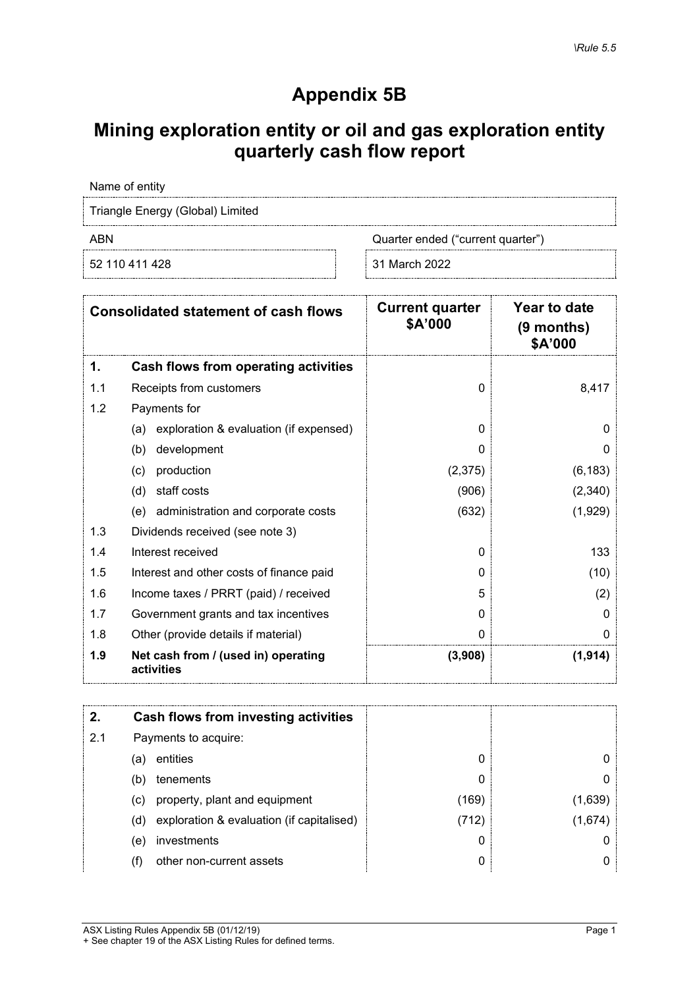## **Appendix 5B**

## **Mining exploration entity or oil and gas exploration entity quarterly cash flow report**

Name of entity

Triangle Energy (Global) Limited

ABN Cuarter ended ("current quarter")

52 110 411 428 31 March 2022

|     | <b>Consolidated statement of cash flows</b>       | <b>Current quarter</b><br>\$A'000 | Year to date<br>$(9$ months)<br>\$A'000 |
|-----|---------------------------------------------------|-----------------------------------|-----------------------------------------|
| 1.  | Cash flows from operating activities              |                                   |                                         |
| 1.1 | Receipts from customers                           | $\Omega$                          | 8,417                                   |
| 1.2 | Payments for                                      |                                   |                                         |
|     | exploration & evaluation (if expensed)<br>(a)     | 0                                 | 0                                       |
|     | development<br>(b)                                | 0                                 | O                                       |
|     | production<br>(c)                                 | (2,375)                           | (6, 183)                                |
|     | (d)<br>staff costs                                | (906)                             | (2,340)                                 |
|     | administration and corporate costs<br>(e)         | (632)                             | (1,929)                                 |
| 1.3 | Dividends received (see note 3)                   |                                   |                                         |
| 1.4 | Interest received                                 | 0                                 | 133                                     |
| 1.5 | Interest and other costs of finance paid          | 0                                 | (10)                                    |
| 1.6 | Income taxes / PRRT (paid) / received             | 5                                 | (2)                                     |
| 1.7 | Government grants and tax incentives              | $\Omega$                          | 0                                       |
| 1.8 | Other (provide details if material)               | 0                                 |                                         |
| 1.9 | Net cash from / (used in) operating<br>activities | (3,908)                           | (1, 914)                                |

|     |     | Cash flows from investing activities      |       |        |
|-----|-----|-------------------------------------------|-------|--------|
| 2.1 |     | Payments to acquire:                      |       |        |
|     | (a  | entities                                  |       |        |
|     | (b) | tenements                                 |       |        |
|     | (c) | property, plant and equipment             | (169) | 1,639  |
|     | (d) | exploration & evaluation (if capitalised) | (712) | (1.674 |
|     | (e) | investments                               |       |        |
|     | (f) | other non-current assets                  |       |        |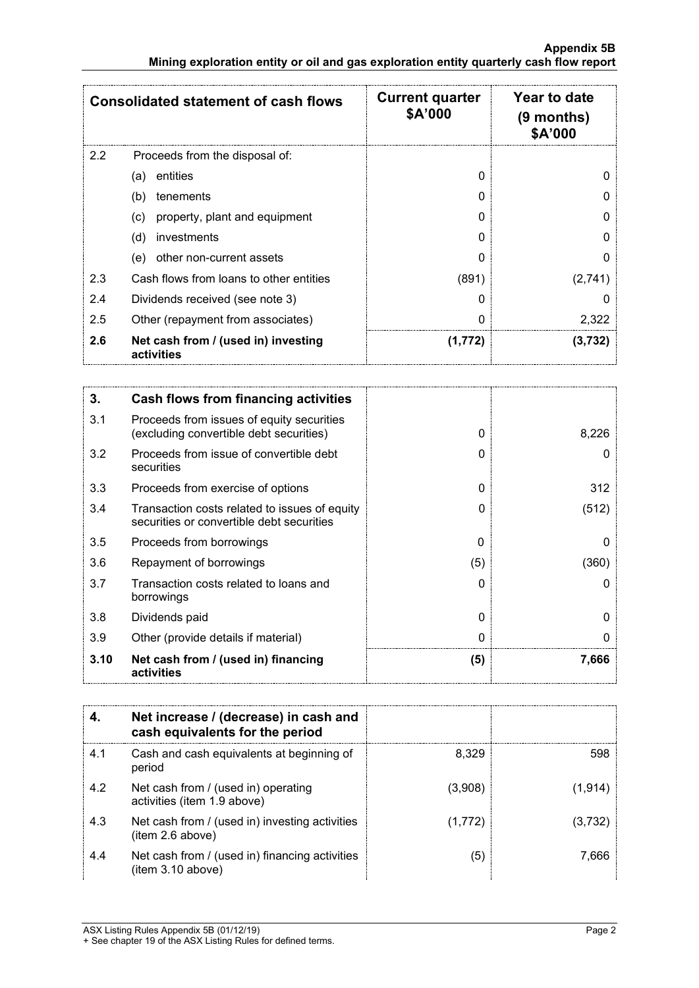|     | <b>Consolidated statement of cash flows</b>       | <b>Current quarter</b><br>\$A'000 | Year to date<br>(9 months)<br>\$A'000 |
|-----|---------------------------------------------------|-----------------------------------|---------------------------------------|
| 2.2 | Proceeds from the disposal of:                    |                                   |                                       |
|     | entities<br>(a)                                   | 0                                 |                                       |
|     | (b)<br>tenements                                  | 0                                 |                                       |
|     | property, plant and equipment<br>(c)              | O                                 |                                       |
|     | investments<br>(d)                                | O                                 |                                       |
|     | other non-current assets<br>(e)                   | O                                 |                                       |
| 2.3 | Cash flows from loans to other entities           | (891)                             | (2,741)                               |
| 2.4 | Dividends received (see note 3)                   | 0                                 |                                       |
| 2.5 | Other (repayment from associates)                 | U                                 | 2,322                                 |
| 2.6 | Net cash from / (used in) investing<br>activities | (1,772)                           | (3,732)                               |

| 3.   | Cash flows from financing activities                                                       |               |       |
|------|--------------------------------------------------------------------------------------------|---------------|-------|
| 3.1  | Proceeds from issues of equity securities<br>(excluding convertible debt securities)       | 0             | 8,226 |
| 3.2  | Proceeds from issue of convertible debt<br>securities                                      | O             |       |
| 3.3  | Proceeds from exercise of options                                                          | 0             | 312   |
| 3.4  | Transaction costs related to issues of equity<br>securities or convertible debt securities | 0             | (512) |
| 3.5  | Proceeds from borrowings                                                                   | $\Omega$      |       |
| 3.6  | Repayment of borrowings                                                                    | (5)           | (360) |
| 3.7  | Transaction costs related to loans and<br>borrowings                                       | $\mathcal{L}$ |       |
| 3.8  | Dividends paid                                                                             | 0             |       |
| 3.9  | Other (provide details if material)                                                        | U             |       |
| 3.10 | Net cash from / (used in) financing<br>activities                                          | (5)           | 7,666 |

|     | Net increase / (decrease) in cash and<br>cash equivalents for the period |          |         |
|-----|--------------------------------------------------------------------------|----------|---------|
| 4.1 | Cash and cash equivalents at beginning of<br>period                      | 8.329    | 598     |
| 4.2 | Net cash from / (used in) operating<br>activities (item 1.9 above)       | (3,908)  | (1,914) |
| 4.3 | Net cash from / (used in) investing activities<br>(item 2.6 above)       | (1, 772) |         |
| 4.4 | Net cash from / (used in) financing activities<br>(item 3.10 above)      | ί5       | 7 KKF   |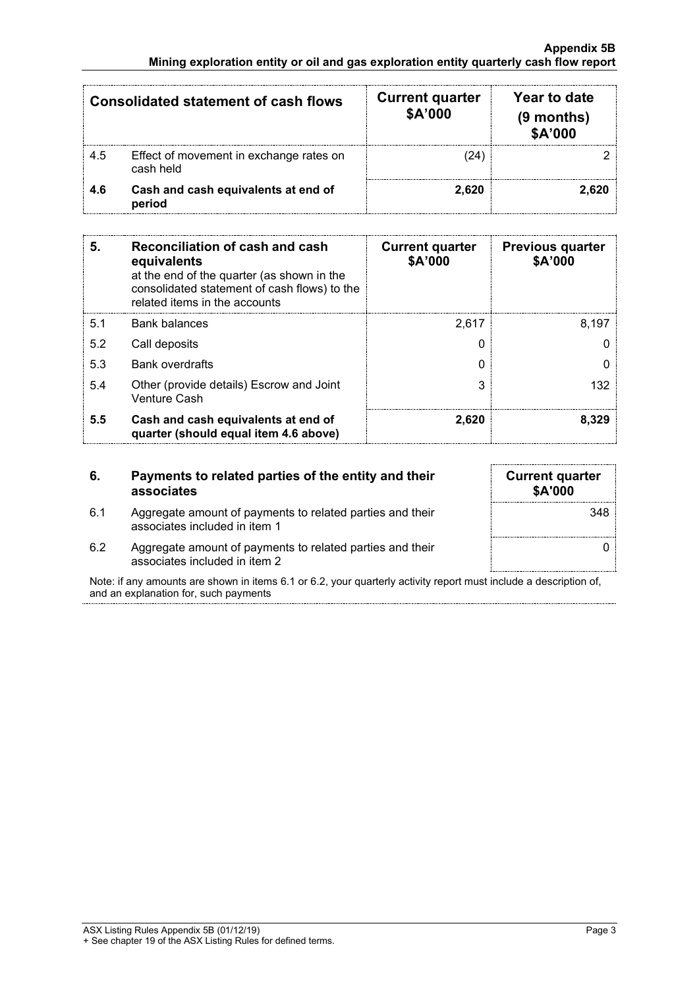| <b>Consolidated statement of cash flows</b> |                                                      | <b>Current quarter</b><br>\$A'000 | Year to date<br>$(9$ months)<br>\$A'000 |
|---------------------------------------------|------------------------------------------------------|-----------------------------------|-----------------------------------------|
| 4.5                                         | Effect of movement in exchange rates on<br>cash held |                                   |                                         |
| 4.6                                         | Cash and cash equivalents at end of<br>period        | 2.620                             |                                         |

| 5.  | Reconciliation of cash and cash<br>equivalents<br>at the end of the quarter (as shown in the<br>consolidated statement of cash flows) to the<br>related items in the accounts | <b>Current quarter</b><br>\$A'000 | <b>Previous quarter</b><br>\$A'000 |
|-----|-------------------------------------------------------------------------------------------------------------------------------------------------------------------------------|-----------------------------------|------------------------------------|
| 5.1 | Bank balances                                                                                                                                                                 | 2.617                             | 8,197                              |
| 5.2 | Call deposits                                                                                                                                                                 |                                   |                                    |
| 5.3 | <b>Bank overdrafts</b>                                                                                                                                                        |                                   |                                    |
| 5.4 | Other (provide details) Escrow and Joint<br><b>Venture Cash</b>                                                                                                               |                                   | 132                                |
| 5.5 | Cash and cash equivalents at end of<br>quarter (should equal item 4.6 above)                                                                                                  | 2,620                             | 8.329                              |

#### **6. Payments to related parties of the entity and their associates**

| <b>Current quarter</b><br>\$A'000 |
|-----------------------------------|
| 348                               |
|                                   |

6.1 Aggregate amount of payments to related parties and their associates included in item 1 6.2 Aggregate amount of payments to related parties and their

associates included in item 2

Note: if any amounts are shown in items 6.1 or 6.2, your quarterly activity report must include a description of, and an explanation for, such payments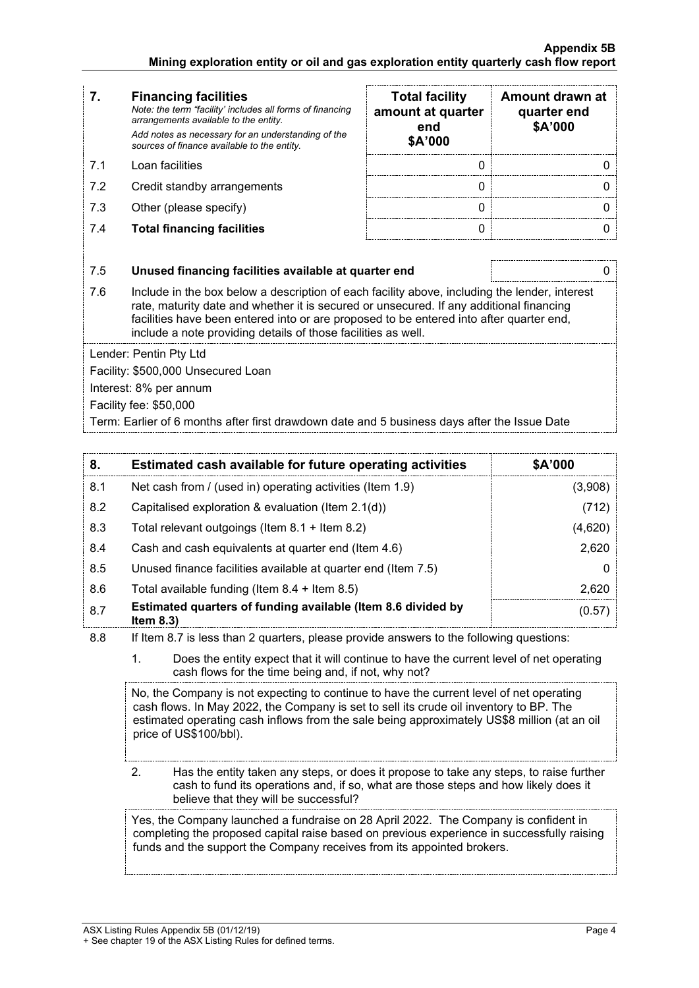### **7. Financing facilities** *Note: the term "facility' includes all forms of financing arrangements available to the entity. Add notes as necessary for an understanding of the sources of finance available to the entity.* 7.1 Loan facilities 0  $\vert$  0 0  $\vert$  0 0 7.2 Credit standby arrangements 7.3 Other (please specify) 7.4 **Total financing facilities** 0 0

| <b>Total facility</b><br>amount at quarter<br>end<br>\$A'000 | Amount drawn at<br>quarter end<br>\$A'000 |
|--------------------------------------------------------------|-------------------------------------------|
|                                                              |                                           |
|                                                              |                                           |
|                                                              |                                           |
|                                                              |                                           |

#### 7.5 **Unused financing facilities available at quarter end** 0

7.6 Include in the box below a description of each facility above, including the lender, interest rate, maturity date and whether it is secured or unsecured. If any additional financing facilities have been entered into or are proposed to be entered into after quarter end, include a note providing details of those facilities as well.

Lender: Pentin Pty Ltd

Facility: \$500,000 Unsecured Loan

Interest: 8% per annum

Facility fee: \$50,000

Term: Earlier of 6 months after first drawdown date and 5 business days after the Issue Date

| 8.  | Estimated cash available for future operating activities                     | \$A'000 |
|-----|------------------------------------------------------------------------------|---------|
| 8.1 | Net cash from / (used in) operating activities (Item 1.9)                    | (3,908) |
| 8.2 | Capitalised exploration & evaluation (Item 2.1(d))                           | (712)   |
| 8.3 | Total relevant outgoings (Item $8.1 +$ Item $8.2$ )                          | (4,620) |
| 8.4 | Cash and cash equivalents at quarter end (Item 4.6)                          | 2,620   |
| 8.5 | Unused finance facilities available at quarter end (Item 7.5)                |         |
| 8.6 | Total available funding (Item $8.4 +$ Item $8.5$ )                           | 2.620   |
| 8.7 | Estimated quarters of funding available (Item 8.6 divided by<br>Item $8.3$ ) | (0.57   |

8.8 If Item 8.7 is less than 2 quarters, please provide answers to the following questions:

1. Does the entity expect that it will continue to have the current level of net operating cash flows for the time being and, if not, why not?

No, the Company is not expecting to continue to have the current level of net operating cash flows. In May 2022, the Company is set to sell its crude oil inventory to BP. The estimated operating cash inflows from the sale being approximately US\$8 million (at an oil price of US\$100/bbl).

2. Has the entity taken any steps, or does it propose to take any steps, to raise further cash to fund its operations and, if so, what are those steps and how likely does it believe that they will be successful?

Yes, the Company launched a fundraise on 28 April 2022. The Company is confident in completing the proposed capital raise based on previous experience in successfully raising funds and the support the Company receives from its appointed brokers.